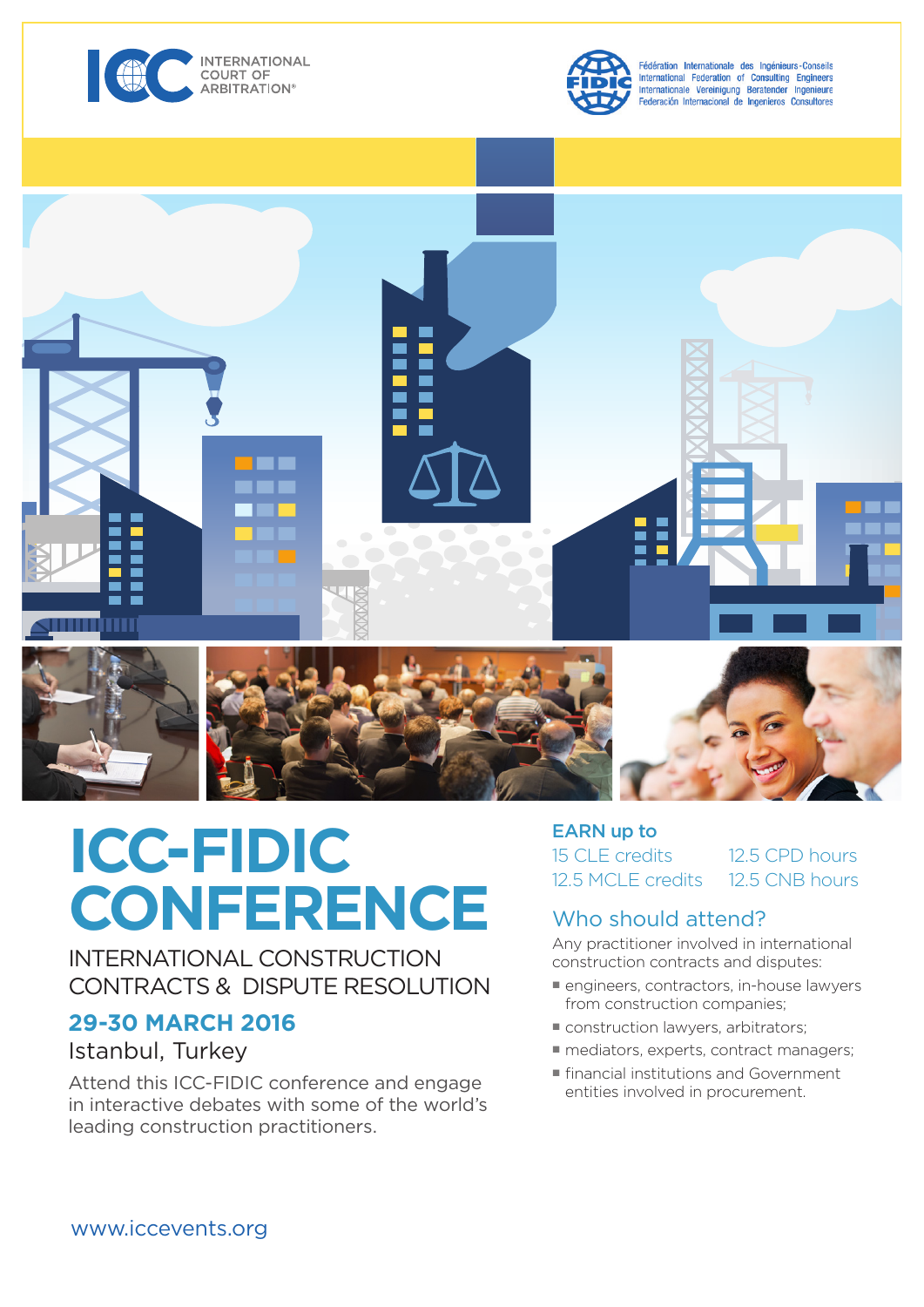



Fédération Internationale des Ingénieurs-Conseils International Federation of Consulting Engineers Internationale Vereinigung Beratender Ingenieure<br>Federación Internacional de Ingenieros Consultores



# **ICC-FIDIC CONFERENCE**

INTERNATIONAL CONSTRUCTION CONTRACTS & DISPUTE RESOLUTION

## **29-30 MARCH 2016**

## Istanbul, Turkey

Attend this ICC-FIDIC conference and engage in interactive debates with some of the world's leading construction practitioners.

#### EARN up to 15 CLE credits 12.5 MCLE credits 12.5 CPD hours 12.5 CNB hours

## Who should attend?

Any practitioner involved in international construction contracts and disputes:

- engineers, contractors, in-house lawyers from construction companies;
- construction lawyers, arbitrators;
- mediators, experts, contract managers;
- financial institutions and Government entities involved in procurement.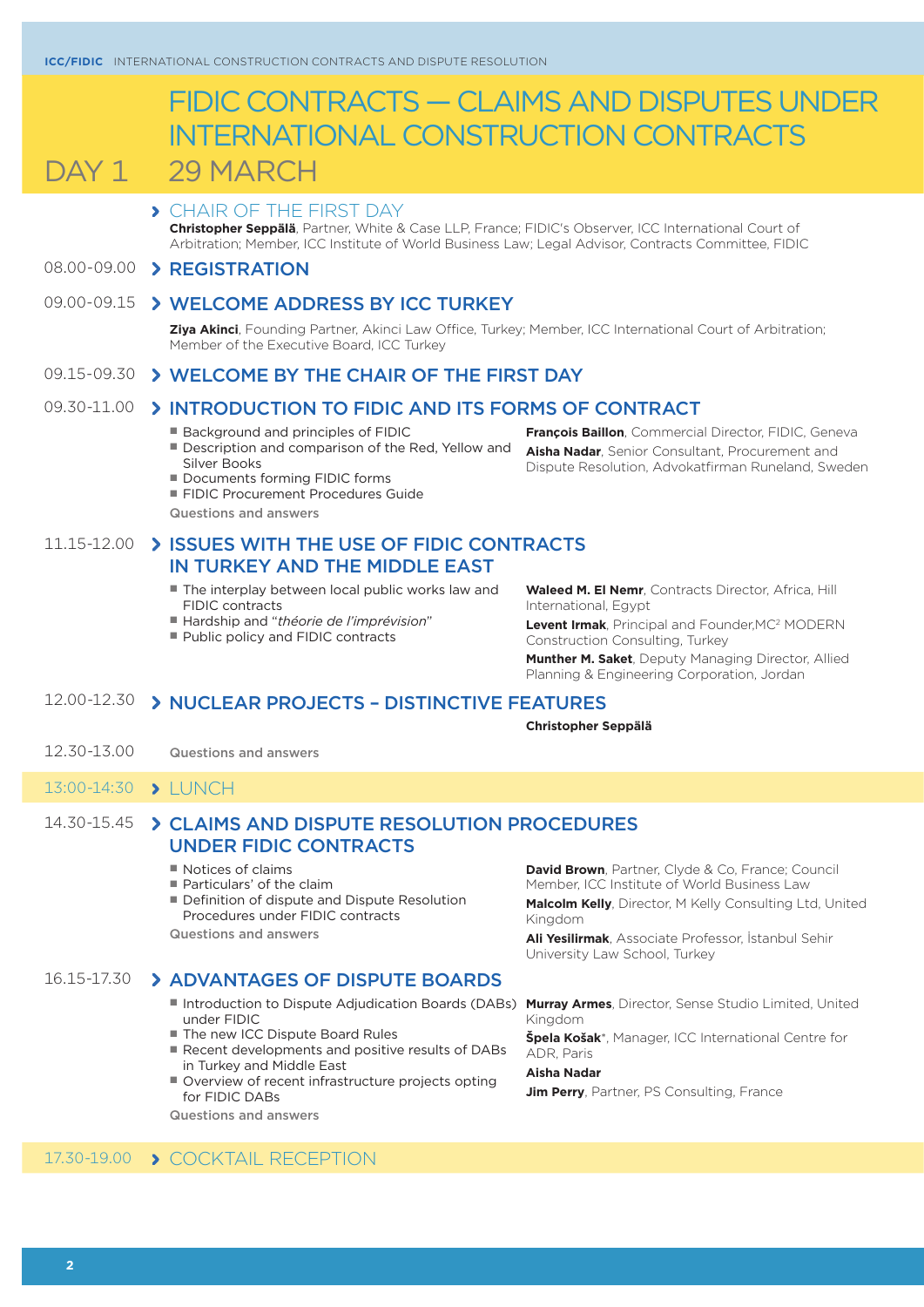# FIDIC CONTRACTS — CLAIMS AND DISPUTES UNDER INTERNATIONAL CONSTRUCTION CONTRACTS

DAY 1 29 MARCH

## CHAIR OF THE FIRST DAY

**Christopher Seppälä**, Partner, White & Case LLP, France; FIDIC's Observer, ICC International Court of Arbitration; Member, ICC Institute of World Business Law; Legal Advisor, Contracts Committee, FIDIC

## 08.00-09.00 > REGISTRATION

## 09.00-09.15 > WELCOME ADDRESS BY ICC TURKEY

**Ziya Akinci**, Founding Partner, Akinci Law Office, Turkey; Member, ICC International Court of Arbitration; Member of the Executive Board, ICC Turkey

### 09.15-09.30 WELCOME BY THE CHAIR OF THE FIRST DAY

## 09.30-11.00 > INTRODUCTION TO FIDIC AND ITS FORMS OF CONTRACT

- Background and principles of FIDIC
- Description and comparison of the Red, Yellow and Silver Books
- Documents forming FIDIC forms
- FIDIC Procurement Procedures Guide
- Questions and answers

## 11.15-12.00 > ISSUES WITH THE USE OF FIDIC CONTRACTS IN TURKEY AND THE MIDDLE EAST

- The interplay between local public works law and FIDIC contracts
- Hardship and "théorie de l'imprévision"
- Public policy and FIDIC contracts

**François Baillon**, Commercial Director, FIDIC, Geneva **Aisha Nadar**, Senior Consultant, Procurement and

Dispute Resolution, Advokatfirman Runeland, Sweden

**Waleed M. El Nemr**, Contracts Director, Africa, Hill International, Egypt

**Levent Irmak**, Principal and Founder,MC2 MODERN Construction Consulting, Turkey

**Munther M. Saket**, Deputy Managing Director, Allied Planning & Engineering Corporation, Jordan

## 12.00-12.30 > NUCLEAR PROJECTS - DISTINCTIVE FEATURES

#### **Christopher Seppälä**

- 12.30-13.00 Questions and answers
- 13:00-14:30 > LUNCH

## 14.30-15.45 CLAIMS AND DISPUTE RESOLUTION PROCEDURES UNDER FIDIC CONTRACTS

- Notices of claims
- Particulars' of the claim
- Definition of dispute and Dispute Resolution Procedures under FIDIC contracts

Questions and answers

## 16.15-17.30 ADVANTAGES OF DISPUTE BOARDS

- Introduction to Dispute Adjudication Boards (DABs) Murray Armes, Director, Sense Studio Limited, United under FIDIC
- The new ICC Dispute Board Rules
- Recent developments and positive results of DABs in Turkey and Middle East
- Overview of recent infrastructure projects opting for FIDIC DABs

Questions and answers

**David Brown**, Partner, Clyde & Co, France; Council Member, ICC Institute of World Business Law **Malcolm Kelly**, Director, M Kelly Consulting Ltd, United

Kingdom

**Ali Yesilirmak**, Associate Professor, İstanbul Sehir University Law School, Turkey

Kingdom

**Špela Košak**\*, Manager, ICC International Centre for ADR, Paris

**Aisha Nadar**

**Jim Perry**, Partner, PS Consulting, France

## 17.30-19.00 > COCKTAIL RECEPTION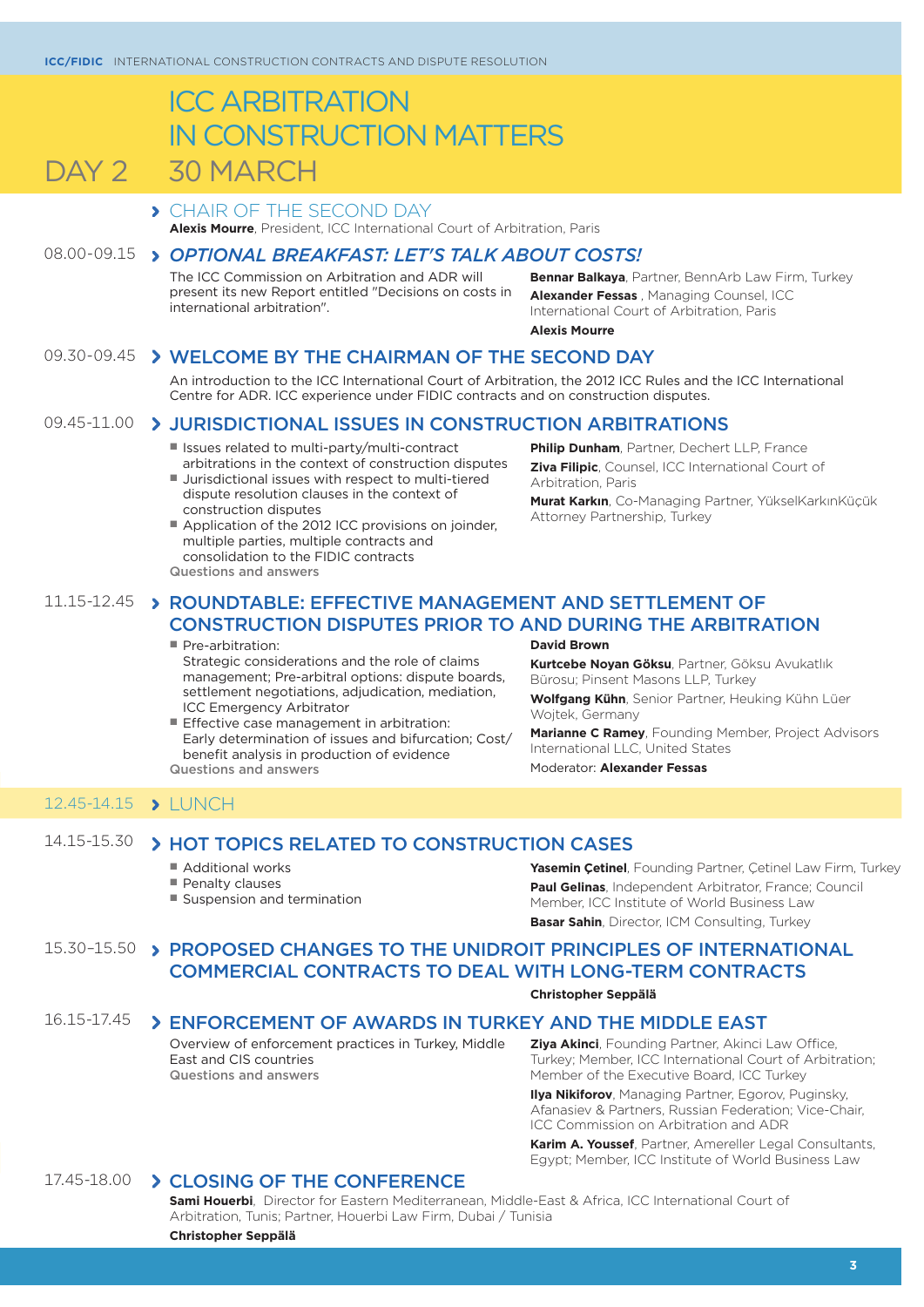## ICC ARBITRATION IN CONSTRUCTION MATTERS DAY 2 30 MARCH

#### CHAIR OF THE SECOND DAY **Alexis Mourre**, President, ICC International Court of Arbitration, Paris

## 08.00-09.15 *OPTIONAL BREAKFAST: LET'S TALK ABOUT COSTS!*

The ICC Commission on Arbitration and ADR will present its new Report entitled "Decisions on costs in international arbitration".

**Bennar Balkaya**, Partner, BennArb Law Firm, Turkey **Alexander Fessas** , Managing Counsel, ICC International Court of Arbitration, Paris **Alexis Mourre**

## 09.30-09.45 > WELCOME BY THE CHAIRMAN OF THE SECOND DAY

An introduction to the ICC International Court of Arbitration, the 2012 ICC Rules and the ICC International Centre for ADR. ICC experience under FIDIC contracts and on construction disputes.

#### 09.45-11.00 > JURISDICTIONAL ISSUES IN CONSTRUCTION ARBITRATIONS

- Issues related to multi-party/multi-contract arbitrations in the context of construction disputes
- Jurisdictional issues with respect to multi-tiered dispute resolution clauses in the context of construction disputes
- Application of the 2012 ICC provisions on joinder, multiple parties, multiple contracts and consolidation to the FIDIC contracts Questions and answers

**Philip Dunham**, Partner, Dechert LLP, France **Ziva Filipic**, Counsel, ICC International Court of Arbitration, Paris

**Murat Karkın**, Co-Managing Partner, YükselKarkınKüçük Attorney Partnership, Turkey

## 11.15-12.45 > ROUNDTABLE: EFFECTIVE MANAGEMENT AND SETTLEMENT OF CONSTRUCTION DISPUTES PRIOR TO AND DURING THE ARBITRATION

#### ■ Pre-arbitration:

Strategic considerations and the role of claims management; Pre-arbitral options: dispute boards, settlement negotiations, adjudication, mediation, ICC Emergency Arbitrator

■ Effective case management in arbitration: Early determination of issues and bifurcation; Cost/ benefit analysis in production of evidence Questions and answers

**David Brown**

**Kurtcebe Noyan Göksu**, Partner, Göksu Avukatlık Bürosu; Pinsent Masons LLP, Turkey

**Wolfgang Kühn**, Senior Partner, Heuking Kühn Lüer Wojtek, Germany

**Marianne C Ramey**, Founding Member, Project Advisors International LLC, United States

Moderator: **Alexander Fessas**

## 12.45-14.15 > LUNCH

## 14.15-15.30 > HOT TOPICS RELATED TO CONSTRUCTION CASES

- Additional works
- Penalty clauses
- Suspension and termination

**Yasemin Çetinel**, Founding Partner, Çetinel Law Firm, Turkey **Paul Gelinas**, Independent Arbitrator, France; Council Member, ICC Institute of World Business Law **Basar Sahin**, Director, ICM Consulting, Turkey

## 15.30-15.50 > PROPOSED CHANGES TO THE UNIDROIT PRINCIPLES OF INTERNATIONAL COMMERCIAL CONTRACTS TO DEAL WITH LONG-TERM CONTRACTS

#### **Christopher Seppälä**

## 16.15-17.45 > ENFORCEMENT OF AWARDS IN TURKEY AND THE MIDDLE EAST

Overview of enforcement practices in Turkey, Middle East and CIS countries Questions and answers

**Ziya Akinci**, Founding Partner, Akinci Law Office, Turkey; Member, ICC International Court of Arbitration; Member of the Executive Board, ICC Turkey

**Ilya Nikiforov**, Managing Partner, Egorov, Puginsky, Afanasiev & Partners, Russian Federation; Vice-Chair, ICC Commission on Arbitration and ADR

**Karim A. Youssef**, Partner, Amereller Legal Consultants, Egypt; Member, ICC Institute of World Business Law

## 17.45-18.00 > CLOSING OF THE CONFERENCE

**Sami Houerbi**, Director for Eastern Mediterranean, Middle-East & Africa, ICC International Court of Arbitration, Tunis; Partner, Houerbi Law Firm, Dubai / Tunisia

**Christopher Seppälä**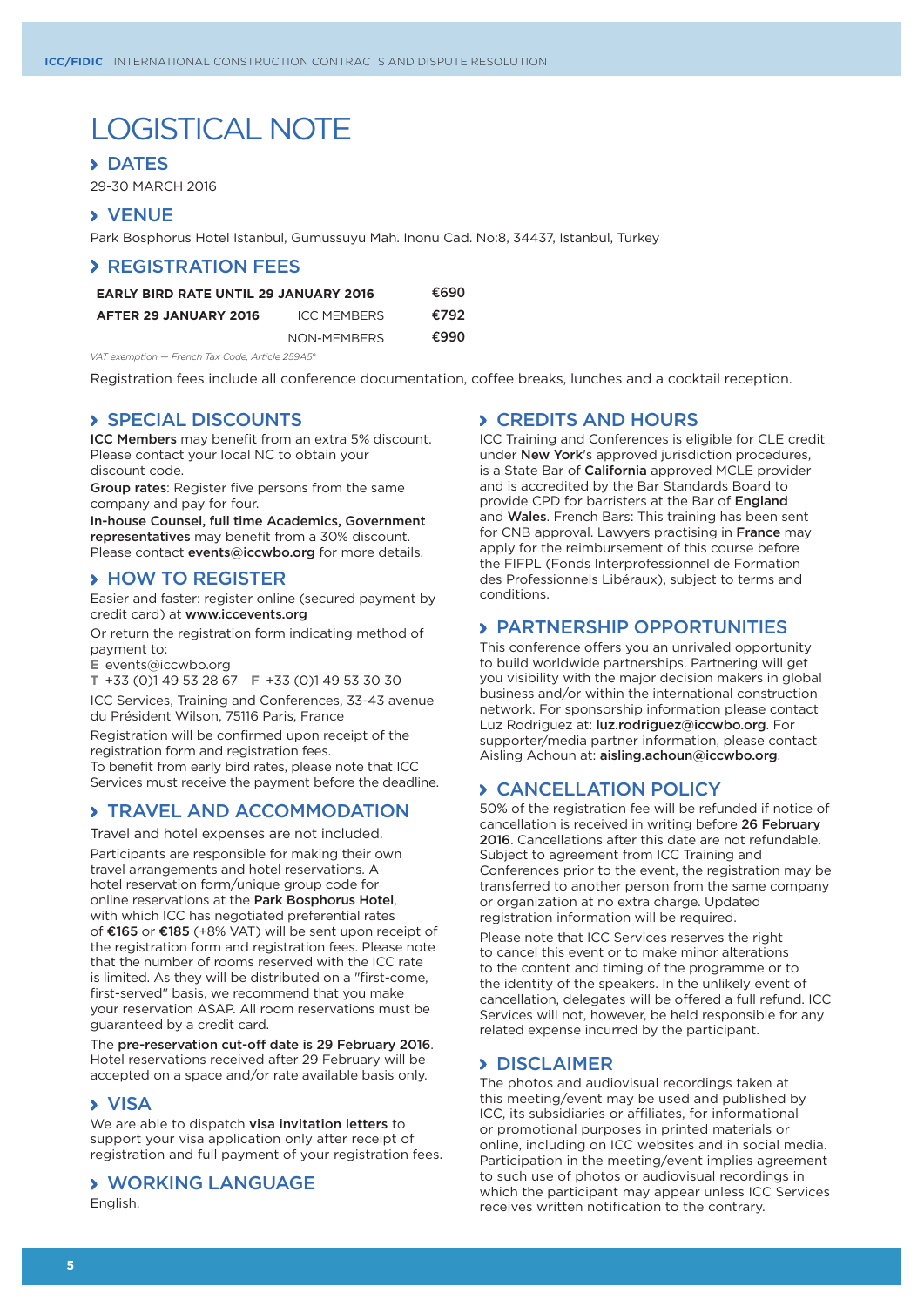# LOGISTICAL NOTE

#### **> DATES**

29-30 MARCH 2016

## **> VENUE**

Park Bosphorus Hotel Istanbul, Gumussuyu Mah. Inonu Cad. No:8, 34437, Istanbul, Turkey

#### **> REGISTRATION FEES**

| <b>EARLY BIRD RATE UNTIL 29 JANUARY 2016</b> |                    | €690 |
|----------------------------------------------|--------------------|------|
| AFTER 29 JANUARY 2016                        | <b>ICC MEMBERS</b> | €792 |
|                                              | NON-MEMBERS        | €990 |

*VAT exemption — French Tax Code, Article 259A5°*

Registration fees include all conference documentation, coffee breaks, lunches and a cocktail reception.

## SPECIAL DISCOUNTS

ICC Members may benefit from an extra 5% discount. Please contact your local NC to obtain your discount code.

Group rates: Register five persons from the same company and pay for four.

In-house Counsel, full time Academics, Government representatives may benefit from a 30% discount. Please contact events@iccwbo.org for more details.

### **> HOW TO REGISTER**

Easier and faster: register online (secured payment by credit card) at www.iccevents.org

Or return the registration form indicating method of payment to:

**E** events@iccwbo.org

**T** +33 (0)1 49 53 28 67 **F** +33 (0)1 49 53 30 30

ICC Services, Training and Conferences, 33-43 avenue du Président Wilson, 75116 Paris, France

Registration will be confirmed upon receipt of the registration form and registration fees. To benefit from early bird rates, please note that ICC Services must receive the payment before the deadline.

## **> TRAVEL AND ACCOMMODATION**

Travel and hotel expenses are not included.

Participants are responsible for making their own travel arrangements and hotel reservations. A hotel reservation form/unique group code for online reservations at the Park Bosphorus Hotel, with which ICC has negotiated preferential rates of €165 or €185 (+8% VAT) will be sent upon receipt of the registration form and registration fees. Please note that the number of rooms reserved with the ICC rate is limited. As they will be distributed on a "first-come, first-served" basis, we recommend that you make your reservation ASAP. All room reservations must be guaranteed by a credit card.

The pre-reservation cut-off date is 29 February 2016. Hotel reservations received after 29 February will be accepted on a space and/or rate available basis only.

#### **> VISA**

We are able to dispatch visa invitation letters to support your visa application only after receipt of registration and full payment of your registration fees.

### WORKING LANGUAGE

English.

## **> CREDITS AND HOURS**

ICC Training and Conferences is eligible for CLE credit under New York's approved jurisdiction procedures, is a State Bar of **California** approved MCLE provider and is accredited by the Bar Standards Board to provide CPD for barristers at the Bar of England and Wales. French Bars: This training has been sent for CNB approval. Lawyers practising in France may apply for the reimbursement of this course before the FIFPL (Fonds Interprofessionnel de Formation des Professionnels Libéraux), subject to terms and conditions.

### PARTNERSHIP OPPORTUNITIES

This conference offers you an unrivaled opportunity to build worldwide partnerships. Partnering will get you visibility with the major decision makers in global business and/or within the international construction network. For sponsorship information please contact Luz Rodriguez at: luz.rodriguez@iccwbo.org. For supporter/media partner information, please contact Aisling Achoun at: aisling.achoun@iccwbo.org.

## CANCELLATION POLICY

50% of the registration fee will be refunded if notice of cancellation is received in writing before 26 February 2016. Cancellations after this date are not refundable. Subject to agreement from ICC Training and Conferences prior to the event, the registration may be transferred to another person from the same company or organization at no extra charge. Updated registration information will be required.

Please note that ICC Services reserves the right to cancel this event or to make minor alterations to the content and timing of the programme or to the identity of the speakers. In the unlikely event of cancellation, delegates will be offered a full refund. ICC Services will not, however, be held responsible for any related expense incurred by the participant.

### **> DISCLAIMER**

The photos and audiovisual recordings taken at this meeting/event may be used and published by ICC, its subsidiaries or affiliates, for informational or promotional purposes in printed materials or online, including on ICC websites and in social media. Participation in the meeting/event implies agreement to such use of photos or audiovisual recordings in which the participant may appear unless ICC Services receives written notification to the contrary.